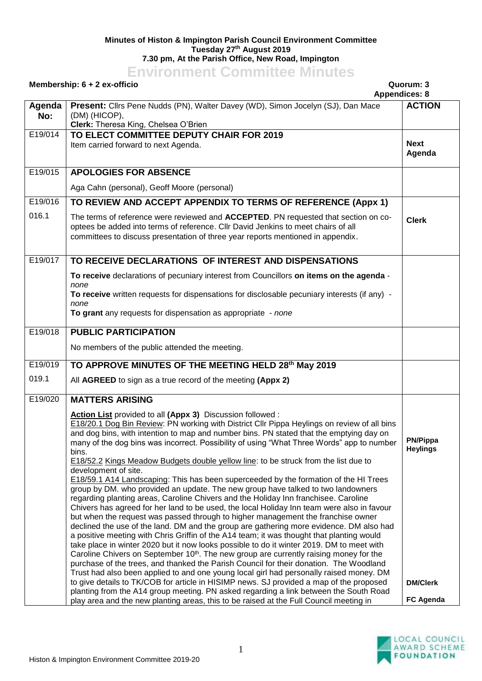## **Minutes of Histon & Impington Parish Council Environment Committee Tuesday 27 th August 2019 7.30 pm, At the Parish Office, New Road, Impington**

## **Environment Committee Minutes**

## **Membership: 6 + 2 ex-officio Quorum: 3 Appendices: 8 Agenda No: Present:** Cllrs Pene Nudds (PN), Walter Davey (WD), Simon Jocelyn (SJ), Dan Mace (DM) (HICOP), **Clerk:** Theresa King, Chelsea O'Brien **ACTION** E19/014 **TO ELECT COMMITTEE DEPUTY CHAIR FOR 2019** Item carried forward to next Agenda. **Next Next Agenda** E19/015 **APOLOGIES FOR ABSENCE** Aga Cahn (personal), Geoff Moore (personal) E19/016 016.1 **TO REVIEW AND ACCEPT APPENDIX TO TERMS OF REFERENCE (Appx 1)** The terms of reference were reviewed and **ACCEPTED**. PN requested that section on cooptees be added into terms of reference. Cllr David Jenkins to meet chairs of all committees to discuss presentation of three year reports mentioned in appendix. **Clerk** E19/017 **TO RECEIVE DECLARATIONS OF INTEREST AND DISPENSATIONS To receive** declarations of pecuniary interest from Councillors **on items on the agenda** *none* **To receive** written requests for dispensations for disclosable pecuniary interests (if any) *none* **To grant** any requests for dispensation as appropriate - *none* E19/018 **PUBLIC PARTICIPATION** No members of the public attended the meeting. E19/019 019.1 **TO APPROVE MINUTES OF THE MEETING HELD 28th May 2019** All **AGREED** to sign as a true record of the meeting **(Appx 2)** E19/020 **MATTERS ARISING Action List** provided to all **(Appx 3)** Discussion followed : E18/20.1 Dog Bin Review: PN working with District Cllr Pippa Heylings on review of all bins and dog bins, with intention to map and number bins. PN stated that the emptying day on many of the dog bins was incorrect. Possibility of using "What Three Words" app to number bins. E18/52.2 Kings Meadow Budgets double yellow line: to be struck from the list due to development of site. E18/59.1 A14 Landscaping: This has been superceeded by the formation of the HI Trees group by DM. who provided an update. The new group have talked to two landowners regarding planting areas, Caroline Chivers and the Holiday Inn franchisee. Caroline Chivers has agreed for her land to be used, the local Holiday Inn team were also in favour but when the request was passed through to higher management the franchise owner declined the use of the land. DM and the group are gathering more evidence. DM also had a positive meeting with Chris Griffin of the A14 team; it was thought that planting would take place in winter 2020 but it now looks possible to do it winter 2019. DM to meet with Caroline Chivers on September  $10<sup>th</sup>$ . The new group are currently raising money for the purchase of the trees, and thanked the Parish Council for their donation. The Woodland Trust had also been applied to and one young local girl had personally raised money. DM to give details to TK/COB for article in HISIMP news. SJ provided a map of the proposed planting from the A14 group meeting. PN asked regarding a link between the South Road play area and the new planting areas, this to be raised at the Full Council meeting in **PN/Pippa Heylings DM/Clerk FC Agenda**

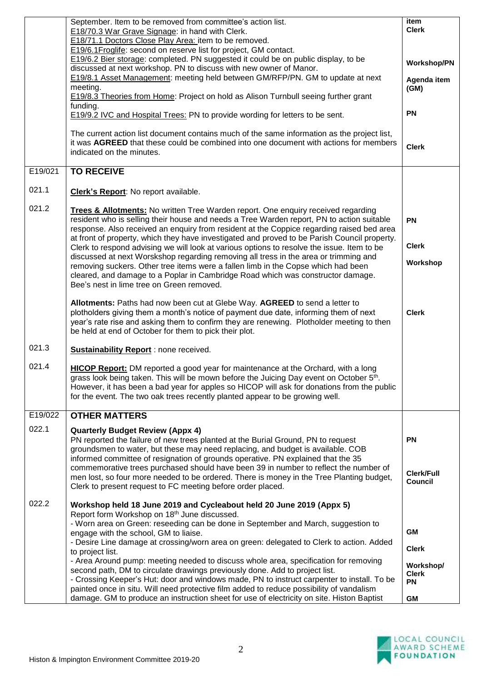|         | September. Item to be removed from committee's action list.                                                                                                                                                                                                                                                                                                                   | item                                   |
|---------|-------------------------------------------------------------------------------------------------------------------------------------------------------------------------------------------------------------------------------------------------------------------------------------------------------------------------------------------------------------------------------|----------------------------------------|
|         | E18/70.3 War Grave Signage: in hand with Clerk.<br>E18/71.1 Doctors Close Play Area: item to be removed.                                                                                                                                                                                                                                                                      | <b>Clerk</b>                           |
|         | E19/6.1Froglife: second on reserve list for project, GM contact.                                                                                                                                                                                                                                                                                                              |                                        |
|         | E19/6.2 Bier storage: completed. PN suggested it could be on public display, to be<br>discussed at next workshop. PN to discuss with new owner of Manor.                                                                                                                                                                                                                      | <b>Workshop/PN</b>                     |
|         | E19/8.1 Asset Management: meeting held between GM/RFP/PN. GM to update at next<br>meeting.                                                                                                                                                                                                                                                                                    | Agenda item<br>(GM)                    |
|         | E19/8.3 Theories from Home: Project on hold as Alison Turnbull seeing further grant                                                                                                                                                                                                                                                                                           |                                        |
|         | funding.                                                                                                                                                                                                                                                                                                                                                                      | <b>PN</b>                              |
|         | <b>E19/9.2 IVC and Hospital Trees: PN to provide wording for letters to be sent.</b>                                                                                                                                                                                                                                                                                          |                                        |
|         | The current action list document contains much of the same information as the project list,<br>it was AGREED that these could be combined into one document with actions for members<br>indicated on the minutes.                                                                                                                                                             | <b>Clerk</b>                           |
| E19/021 | <b>TO RECEIVE</b>                                                                                                                                                                                                                                                                                                                                                             |                                        |
| 021.1   | Clerk's Report: No report available.                                                                                                                                                                                                                                                                                                                                          |                                        |
|         |                                                                                                                                                                                                                                                                                                                                                                               |                                        |
| 021.2   | <b>Trees &amp; Allotments:</b> No written Tree Warden report. One enquiry received regarding<br>resident who is selling their house and needs a Tree Warden report, PN to action suitable<br>response. Also received an enquiry from resident at the Coppice regarding raised bed area                                                                                        | <b>PN</b>                              |
|         | at front of property, which they have investigated and proved to be Parish Council property.<br>Clerk to respond advising we will look at various options to resolve the issue. Item to be                                                                                                                                                                                    | <b>Clerk</b>                           |
|         | discussed at next Worskshop regarding removing all tress in the area or trimming and                                                                                                                                                                                                                                                                                          |                                        |
|         | removing suckers. Other tree items were a fallen limb in the Copse which had been<br>cleared, and damage to a Poplar in Cambridge Road which was constructor damage.<br>Bee's nest in lime tree on Green removed.                                                                                                                                                             | Workshop                               |
|         | Allotments: Paths had now been cut at Glebe Way. AGREED to send a letter to<br>plotholders giving them a month's notice of payment due date, informing them of next<br>year's rate rise and asking them to confirm they are renewing. Plotholder meeting to then<br>be held at end of October for them to pick their plot.                                                    | <b>Clerk</b>                           |
| 021.3   | Sustainability Report : none received.                                                                                                                                                                                                                                                                                                                                        |                                        |
| 021.4   | <b>HICOP Report:</b> DM reported a good year for maintenance at the Orchard, with a long<br>grass look being taken. This will be mown before the Juicing Day event on October 5 <sup>th</sup> .<br>However, it has been a bad year for apples so HICOP will ask for donations from the public<br>for the event. The two oak trees recently planted appear to be growing well. |                                        |
| E19/022 | <b>OTHER MATTERS</b>                                                                                                                                                                                                                                                                                                                                                          |                                        |
| 022.1   | <b>Quarterly Budget Review (Appx 4)</b>                                                                                                                                                                                                                                                                                                                                       |                                        |
|         | PN reported the failure of new trees planted at the Burial Ground, PN to request<br>groundsmen to water, but these may need replacing, and budget is available. COB<br>informed committee of resignation of grounds operative. PN explained that the 35                                                                                                                       | <b>PN</b>                              |
|         | commemorative trees purchased should have been 39 in number to reflect the number of                                                                                                                                                                                                                                                                                          | Clerk/Full                             |
|         | men lost, so four more needed to be ordered. There is money in the Tree Planting budget,<br>Clerk to present request to FC meeting before order placed.                                                                                                                                                                                                                       | Council                                |
| 022.2   | Workshop held 18 June 2019 and Cycleabout held 20 June 2019 (Appx 5)                                                                                                                                                                                                                                                                                                          |                                        |
|         | Report form Workshop on 18th June discussed.<br>- Worn area on Green: reseeding can be done in September and March, suggestion to                                                                                                                                                                                                                                             |                                        |
|         | engage with the school, GM to liaise.<br>- Desire Line damage at crossing/worn area on green: delegated to Clerk to action. Added                                                                                                                                                                                                                                             | <b>GM</b>                              |
|         | to project list.                                                                                                                                                                                                                                                                                                                                                              | <b>Clerk</b>                           |
|         | - Area Around pump: meeting needed to discuss whole area, specification for removing<br>second path, DM to circulate drawings previously done. Add to project list.<br>- Crossing Keeper's Hut: door and windows made, PN to instruct carpenter to install. To be                                                                                                             | Workshop/<br><b>Clerk</b><br><b>PN</b> |
|         | painted once in situ. Will need protective film added to reduce possibility of vandalism<br>damage. GM to produce an instruction sheet for use of electricity on site. Histon Baptist                                                                                                                                                                                         | GM                                     |

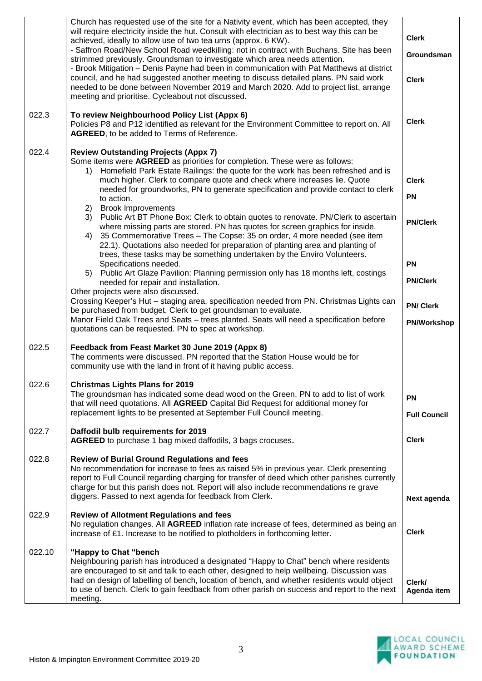| 022.10 | "Happy to Chat "bench<br>Neighbouring parish has introduced a designated "Happy to Chat" bench where residents<br>are encouraged to sit and talk to each other, designed to help wellbeing. Discussion was<br>had on design of labelling of bench, location of bench, and whether residents would object<br>to use of bench. Clerk to gain feedback from other parish on success and report to the next<br>meeting.                 | Clerk/<br>Agenda item                 |
|--------|-------------------------------------------------------------------------------------------------------------------------------------------------------------------------------------------------------------------------------------------------------------------------------------------------------------------------------------------------------------------------------------------------------------------------------------|---------------------------------------|
| 022.9  | <b>Review of Allotment Regulations and fees</b><br>No regulation changes. All AGREED inflation rate increase of fees, determined as being an<br>increase of £1. Increase to be notified to plotholders in forthcoming letter.                                                                                                                                                                                                       | <b>Clerk</b>                          |
| 022.8  | <b>Review of Burial Ground Regulations and fees</b><br>No recommendation for increase to fees as raised 5% in previous year. Clerk presenting<br>report to Full Council regarding charging for transfer of deed which other parishes currently<br>charge for but this parish does not. Report will also include recommendations re grave<br>diggers. Passed to next agenda for feedback from Clerk.                                 | Next agenda                           |
| 022.7  | Daffodil bulb requirements for 2019<br>AGREED to purchase 1 bag mixed daffodils, 3 bags crocuses.                                                                                                                                                                                                                                                                                                                                   | <b>Clerk</b>                          |
| 022.6  | <b>Christmas Lights Plans for 2019</b><br>The groundsman has indicated some dead wood on the Green, PN to add to list of work<br>that will need quotations. All AGREED Capital Bid Request for additional money for<br>replacement lights to be presented at September Full Council meeting.                                                                                                                                        | <b>PN</b><br><b>Full Council</b>      |
| 022.5  | Feedback from Feast Market 30 June 2019 (Appx 8)<br>The comments were discussed. PN reported that the Station House would be for<br>community use with the land in front of it having public access.                                                                                                                                                                                                                                |                                       |
|        | Other projects were also discussed.<br>Crossing Keeper's Hut - staging area, specification needed from PN. Christmas Lights can<br>be purchased from budget, Clerk to get groundsman to evaluate.<br>Manor Field Oak Trees and Seats - trees planted. Seats will need a specification before<br>quotations can be requested. PN to spec at workshop.                                                                                | <b>PN/Clerk</b><br><b>PN/Workshop</b> |
|        | trees, these tasks may be something undertaken by the Enviro Volunteers.<br>Specifications needed.<br>Public Art Glaze Pavilion: Planning permission only has 18 months left, costings<br>5)<br>needed for repair and installation.                                                                                                                                                                                                 | <b>PN</b><br><b>PN/Clerk</b>          |
|        | to action.<br><b>Brook Improvements</b><br>2)<br>Public Art BT Phone Box: Clerk to obtain quotes to renovate. PN/Clerk to ascertain<br>3)<br>where missing parts are stored. PN has quotes for screen graphics for inside.<br>35 Commemorative Trees - The Copse: 35 on order, 4 more needed (see item<br>4)<br>22.1). Quotations also needed for preparation of planting area and planting of                                      | <b>PN</b><br><b>PN/Clerk</b>          |
| 022.4  | <b>Review Outstanding Projects (Appx 7)</b><br>Some items were AGREED as priorities for completion. These were as follows:<br>Homefield Park Estate Railings: the quote for the work has been refreshed and is<br>1)<br>much higher. Clerk to compare quote and check where increases lie. Quote<br>needed for groundworks, PN to generate specification and provide contact to clerk                                               | <b>Clerk</b>                          |
| 022.3  | To review Neighbourhood Policy List (Appx 6)<br>Policies P8 and P12 identified as relevant for the Environment Committee to report on. All<br>AGREED, to be added to Terms of Reference.                                                                                                                                                                                                                                            | <b>Clerk</b>                          |
|        | - Brook Mitigation - Denis Payne had been in communication with Pat Matthews at district<br>council, and he had suggested another meeting to discuss detailed plans. PN said work<br>needed to be done between November 2019 and March 2020. Add to project list, arrange<br>meeting and prioritise. Cycleabout not discussed.                                                                                                      | <b>Clerk</b>                          |
|        | Church has requested use of the site for a Nativity event, which has been accepted, they<br>will require electricity inside the hut. Consult with electrician as to best way this can be<br>achieved, ideally to allow use of two tea urns (approx. 6 KW).<br>- Saffron Road/New School Road weedkilling: not in contract with Buchans. Site has been<br>strimmed previously. Groundsman to investigate which area needs attention. | <b>Clerk</b><br>Groundsman            |